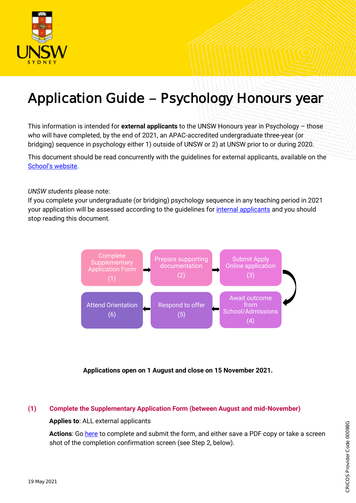

# Application Guide - Psychology Honours year

This information is intended for **external applicants** to the UNSW Honours year in Psychology – those who will have completed, by the end of 2021, an APAC-accredited undergraduate three-year (or bridging) sequence in psychology either 1) outside of UNSW or 2) at UNSW prior to or during 2020.

This document should be read concurrently with the guidelines for external applicants, available on the School['s website](https://www.psy.unsw.edu.au/future-students/undergraduate/programs/honours).

*UNSW students* please note:

If you complete your undergraduate (or bridging) psychology sequence in any teaching period in 2021 your application will be assessed according to the guidelines for *internal applicants* and you should stop reading this document.



**Applications open on 1 August and close on 15 November 2021.**

#### **(1) Complete the Supplementary Application Form (between August and mid-November)**

**Applies to**: ALL external applicants

Actions: Go [here](https://unswpsy.au1.qualtrics.com/jfe/form/SV_8cT9GDtuz2BYB6e) to complete and submit the form, and either save a PDF copy or take a screen shot of the completion confirmation screen (see Step 2, below).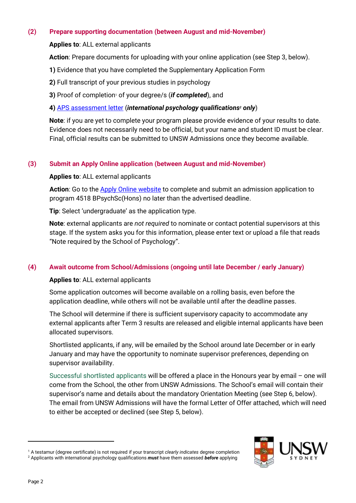## **(2) Prepare supporting documentation (between August and mid-November)**

## **Applies to**: ALL external applicants

**Action**: Prepare documents for uploading with your online application (see Step 3, below).

- **1)** Evidence that you have completed the Supplementary Application Form
- **2)** Full transcript of your previous studies in psychology
- **3)** Proof of completion<sup>1</sup> of your degree/s (*if completed*), and

## **4)** [APS assessment letter](https://www.psychology.org.au/About-Us/What-we-do/Assessing-overseas-qualifications) (*international psychology qualifications<sup>2</sup> only*)

**Note**: if you are yet to complete your program please provide evidence of your results to date. Evidence does not necessarily need to be official, but your name and student ID must be clear. Final, official results can be submitted to UNSW Admissions once they become available.

# **(3) Submit an Apply Online application (between August and mid-November)**

## **Applies to**: ALL external applicants

**Action**: Go to the [Apply Online website](https://applyonline.unsw.edu.au/login) to complete and submit an admission application to program 4518 BPsychSc(Hons) no later than the advertised deadline.

**Tip**: Select 'undergraduate' as the application type.

**Note**: external applicants are *not required* to nominate or contact potential supervisors at this stage. If the system asks you for this information, please enter text or upload a file that reads "Note required by the School of Psychology".

# **(4) Await outcome from School/Admissions (ongoing until late December / early January)**

## **Applies to**: ALL external applicants

Some application outcomes will become available on a rolling basis, even before the application deadline, while others will not be available until after the deadline passes.

The School will determine if there is sufficient supervisory capacity to accommodate any external applicants after Term 3 results are released and eligible internal applicants have been allocated supervisors.

Shortlisted applicants, if any, will be emailed by the School around late December or in early January and may have the opportunity to nominate supervisor preferences, depending on supervisor availability.

Successful shortlisted applicants will be offered a place in the Honours year by email – one will come from the School, the other from UNSW Admissions. The School's email will contain their supervisor's name and details about the mandatory Orientation Meeting (see Step 6, below). The email from UNSW Admissions will have the formal Letter of Offer attached, which will need to either be accepted or declined (see Step 5, below).

<sup>1</sup> A testamur (degree certificate) is not required if your transcript *clearly indicates* degree completion <sup>2</sup> Applicants with international psychology qualifications *must* have them assessed *before* applying



 $\overline{a}$